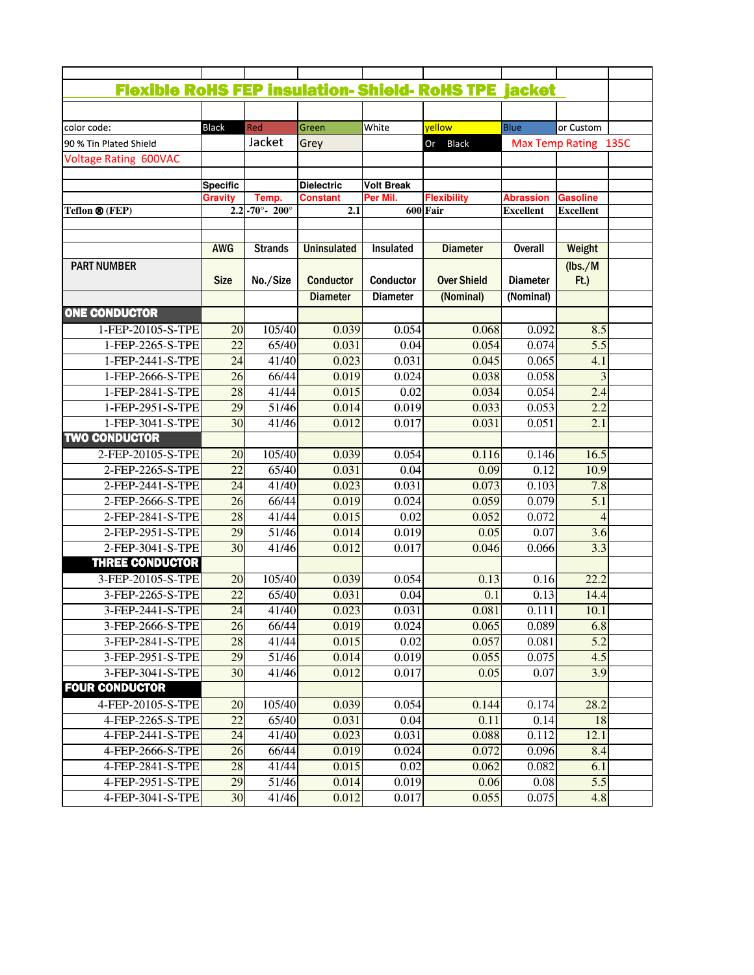| <b>Flexible RoHS FEP insulation- Shield- RoHS TPE jacket</b> |                 |                                      |                    |                   |                                             |                      |                                     |
|--------------------------------------------------------------|-----------------|--------------------------------------|--------------------|-------------------|---------------------------------------------|----------------------|-------------------------------------|
|                                                              |                 |                                      |                    |                   |                                             |                      |                                     |
| color code:                                                  | <b>Black</b>    | Red                                  | Green              | White             | yellow                                      | Blue                 | or Custom                           |
| 90 % Tin Plated Shield                                       |                 | Jacket                               | Grey               |                   | Or Black                                    | Max Temp Rating 135C |                                     |
| <b>Voltage Rating 600VAC</b>                                 |                 |                                      |                    |                   |                                             |                      |                                     |
|                                                              |                 |                                      |                    |                   |                                             |                      |                                     |
|                                                              | <b>Specific</b> |                                      | <b>Dielectric</b>  | <b>Volt Break</b> |                                             |                      |                                     |
|                                                              | <b>Gravity</b>  | Temp.<br>$-70^{\circ} - 200^{\circ}$ | Constant           | Per Mil.          | <b>Flexibility</b><br>$\overline{600}$ Fair | <b>Abrassion</b>     | <b>Gasoline</b><br><b>Excellent</b> |
| Teflon ® (FEP)                                               | 2.2             |                                      | 2.1                |                   |                                             | <b>Excellent</b>     |                                     |
|                                                              |                 |                                      |                    |                   |                                             |                      |                                     |
|                                                              | <b>AWG</b>      | <b>Strands</b>                       | <b>Uninsulated</b> | Insulated         | <b>Diameter</b>                             | <b>Overall</b>       | Weight                              |
| <b>PART NUMBER</b>                                           |                 |                                      |                    |                   |                                             |                      | (lbs./M)                            |
|                                                              | <b>Size</b>     | No./Size                             | <b>Conductor</b>   | Conductor         | <b>Over Shield</b>                          | <b>Diameter</b>      | $Ft$ .)                             |
|                                                              |                 |                                      | <b>Diameter</b>    | <b>Diameter</b>   | (Nominal)                                   | (Nominal)            |                                     |
| <b>ONE CONDUCTOR</b>                                         |                 |                                      |                    |                   |                                             |                      |                                     |
| 1-FEP-20105-S-TPE                                            | 20              | 105/40                               | 0.039              | 0.054             | 0.068                                       | 0.092                | 8.5                                 |
| 1-FEP-2265-S-TPE                                             | 22              | 65/40                                | 0.031              | 0.04              | 0.054                                       | 0.074                | $\overline{5.5}$                    |
| 1-FEP-2441-S-TPE                                             | 24              | 41/40                                | 0.023              | 0.031             | 0.045                                       | 0.065                | 4.1                                 |
| 1-FEP-2666-S-TPE                                             | $\overline{26}$ | 66/44                                | 0.019              | 0.024             | 0.038                                       | 0.058                |                                     |
| 1-FEP-2841-S-TPE                                             | 28              | 41/44                                | 0.015              | 0.02              | 0.034                                       | 0.054                | 2.4                                 |
|                                                              |                 |                                      |                    |                   |                                             |                      |                                     |
| 1-FEP-2951-S-TPE                                             | 29              | 51/46                                | 0.014              | 0.019             | 0.033                                       | 0.053                | 2.2                                 |
| 1-FEP-3041-S-TPE                                             | $\overline{30}$ | 41/46                                | 0.012              | 0.017             | 0.031                                       | 0.051                | 2.1                                 |
| <b>TWO CONDUCTOR</b>                                         |                 |                                      |                    |                   |                                             |                      |                                     |
| 2-FEP-20105-S-TPE                                            | 20              | 105/40                               | 0.039              | 0.054             | 0.116                                       | 0.146                | 16.5                                |
| 2-FEP-2265-S-TPE                                             | $\overline{22}$ | 65/40                                | 0.031              | 0.04              | 0.09                                        | 0.12                 | 10.9                                |
| 2-FEP-2441-S-TPE                                             | 24              | 41/40                                | 0.023              | 0.031             | 0.073                                       | 0.103                | 7.8                                 |
| 2-FEP-2666-S-TPE                                             | 26              | 66/44                                | 0.019              | 0.024             | 0.059                                       | 0.079                | 5.1                                 |
| 2-FEP-2841-S-TPE                                             | 28              | 41/44                                | 0.015              | 0.02              | 0.052                                       | 0.072                |                                     |
| 2-FEP-2951-S-TPE                                             | 29              | 51/46                                | 0.014              | 0.019             | 0.05                                        | 0.07                 | 3.6                                 |
| 2-FEP-3041-S-TPE                                             | 30              | 41/46                                | 0.012              | 0.017             | 0.046                                       | 0.066                | 3.3                                 |
| <b>THREE CONDUCTOR</b>                                       |                 |                                      |                    |                   |                                             |                      |                                     |
| 3-FEP-20105-S-TPE                                            | 20              | 105/40                               | 0.039              | 0.054             | 0.13                                        | 0.16                 | 22.2                                |
| 3-FEP-2265-S-TPE                                             | 22              | 65/40                                | 0.031              | 0.04              | 0.1                                         | 0.13                 | 14.4                                |
| 3-FEP-2441-S-TPE                                             | 24              | 41/40                                | 0.023              | 0.031             | 0.081                                       | 0.111                | 10.1                                |
| 3-FEP-2666-S-TPE                                             | 26              | 66/44                                | 0.019              | 0.024             | 0.065                                       | 0.089                | 6.8                                 |
| 3-FEP-2841-S-TPE                                             | 28              | 41/44                                | 0.015              | 0.02              | 0.057                                       | 0.081                | 5.2                                 |
| 3-FEP-2951-S-TPE                                             | 29              | 51/46                                | 0.014              | 0.019             | 0.055                                       | 0.075                | 4.5                                 |
| 3-FEP-3041-S-TPE                                             | $\overline{30}$ | 41/46                                | 0.012              | 0.017             | 0.05                                        | 0.07                 | 3.9                                 |
| <b>FOUR CONDUCTOR</b>                                        |                 |                                      |                    |                   |                                             |                      |                                     |
| 4-FEP-20105-S-TPE                                            | 20              | 105/40                               | 0.039              | 0.054             | 0.144                                       | 0.174                | 28.2                                |
| 4-FEP-2265-S-TPE                                             | 22              | 65/40                                | 0.031              | 0.04              | 0.11                                        | 0.14                 | 18                                  |
| 4-FEP-2441-S-TPE                                             | 24              | 41/40                                | 0.023              | 0.031             | 0.088                                       | 0.112                | 12.1                                |
| 4-FEP-2666-S-TPE                                             | 26              | 66/44                                | 0.019              | 0.024             | 0.072                                       | 0.096                | 8.4                                 |
| 4-FEP-2841-S-TPE                                             | 28              | 41/44                                | 0.015              | 0.02              | 0.062                                       | 0.082                | 6.1                                 |
| 4-FEP-2951-S-TPE                                             | 29              | 51/46                                | 0.014              | 0.019             | 0.06                                        | 0.08                 | 5.5                                 |
|                                                              |                 |                                      |                    |                   |                                             |                      |                                     |